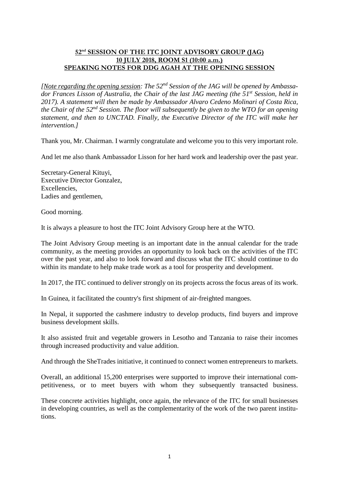## **52nd SESSION OF THE ITC JOINT ADVISORY GROUP (JAG) 10 JULY 2018, ROOM S1 (10:00 a.m.) SPEAKING NOTES FOR DDG AGAH AT THE OPENING SESSION**

*[Note regarding the opening session: The 52nd Session of the JAG will be opened by Ambassador Frances Lisson of Australia, the Chair of the last JAG meeting (the 51st Session, held in 2017). A statement will then be made by Ambassador Alvaro Cedeno Molinari of Costa Rica,* the Chair of the  $52^{nd}$  Session. The floor will subsequently be given to the WTO for an opening *statement, and then to UNCTAD. Finally, the Executive Director of the ITC will make her intervention.]*

Thank you, Mr. Chairman. I warmly congratulate and welcome you to this very important role.

And let me also thank Ambassador Lisson for her hard work and leadership over the past year.

Secretary-General Kituyi, Executive Director Gonzalez, Excellencies, Ladies and gentlemen,

Good morning.

It is always a pleasure to host the ITC Joint Advisory Group here at the WTO.

The Joint Advisory Group meeting is an important date in the annual calendar for the trade community, as the meeting provides an opportunity to look back on the activities of the ITC over the past year, and also to look forward and discuss what the ITC should continue to do within its mandate to help make trade work as a tool for prosperity and development.

In 2017, the ITC continued to deliver strongly on its projects across the focus areas of its work.

In Guinea, it facilitated the country's first shipment of air-freighted mangoes.

In Nepal, it supported the cashmere industry to develop products, find buyers and improve business development skills.

It also assisted fruit and vegetable growers in Lesotho and Tanzania to raise their incomes through increased productivity and value addition.

And through the SheTrades initiative, it continued to connect women entrepreneurs to markets.

Overall, an additional 15,200 enterprises were supported to improve their international competitiveness, or to meet buyers with whom they subsequently transacted business.

These concrete activities highlight, once again, the relevance of the ITC for small businesses in developing countries, as well as the complementarity of the work of the two parent institutions.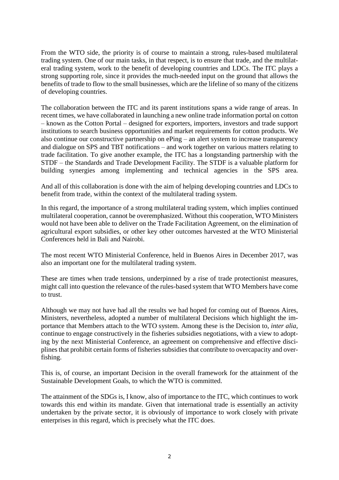From the WTO side, the priority is of course to maintain a strong, rules-based multilateral trading system. One of our main tasks, in that respect, is to ensure that trade, and the multilateral trading system, work to the benefit of developing countries and LDCs. The ITC plays a strong supporting role, since it provides the much-needed input on the ground that allows the benefits of trade to flow to the small businesses, which are the lifeline of so many of the citizens of developing countries.

The collaboration between the ITC and its parent institutions spans a wide range of areas. In recent times, we have collaborated in launching a new online trade information portal on cotton – known as the Cotton Portal – designed for exporters, importers, investors and trade support institutions to search business opportunities and market requirements for cotton products. We also continue our constructive partnership on ePing – an alert system to increase transparency and dialogue on SPS and TBT notifications – and work together on various matters relating to trade facilitation. To give another example, the ITC has a longstanding partnership with the STDF – the Standards and Trade Development Facility. The STDF is a valuable platform for building synergies among implementing and technical agencies in the SPS area.

And all of this collaboration is done with the aim of helping developing countries and LDCs to benefit from trade, within the context of the multilateral trading system.

In this regard, the importance of a strong multilateral trading system, which implies continued multilateral cooperation, cannot be overemphasized. Without this cooperation, WTO Ministers would not have been able to deliver on the Trade Facilitation Agreement, on the elimination of agricultural export subsidies, or other key other outcomes harvested at the WTO Ministerial Conferences held in Bali and Nairobi.

The most recent WTO Ministerial Conference, held in Buenos Aires in December 2017, was also an important one for the multilateral trading system.

These are times when trade tensions, underpinned by a rise of trade protectionist measures, might call into question the relevance of the rules-based system that WTO Members have come to trust.

Although we may not have had all the results we had hoped for coming out of Buenos Aires, Ministers, nevertheless, adopted a number of multilateral Decisions which highlight the importance that Members attach to the WTO system. Among these is the Decision to, *inter alia*, continue to engage constructively in the fisheries subsidies negotiations, with a view to adopting by the next Ministerial Conference, an agreement on comprehensive and effective disciplines that prohibit certain forms of fisheries subsidies that contribute to overcapacity and overfishing.

This is, of course, an important Decision in the overall framework for the attainment of the Sustainable Development Goals, to which the WTO is committed.

The attainment of the SDGs is, I know, also of importance to the ITC, which continues to work towards this end within its mandate. Given that international trade is essentially an activity undertaken by the private sector, it is obviously of importance to work closely with private enterprises in this regard, which is precisely what the ITC does.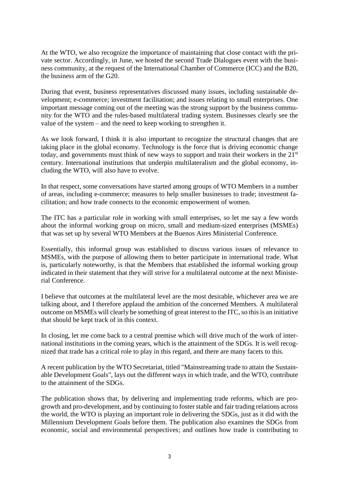At the WTO, we also recognize the importance of maintaining that close contact with the private sector. Accordingly, in June, we hosted the second Trade Dialogues event with the business community, at the request of the International Chamber of Commerce (ICC) and the B20, the business arm of the G20.

During that event, business representatives discussed many issues, including sustainable development; e-commerce; investment facilitation; and issues relating to small enterprises. One important message coming out of the meeting was the strong support by the business community for the WTO and the rules-based multilateral trading system. Businesses clearly see the value of the system – and the need to keep working to strengthen it.

As we look forward, I think it is also important to recognize the structural changes that are taking place in the global economy. Technology is the force that is driving economic change today, and governments must think of new ways to support and train their workers in the 21<sup>st</sup> century. International institutions that underpin multilateralism and the global economy, including the WTO, will also have to evolve.

In that respect, some conversations have started among groups of WTO Members in a number of areas, including e-commerce; measures to help smaller businesses to trade; investment facilitation; and how trade connects to the economic empowerment of women.

The ITC has a particular role in working with small enterprises, so let me say a few words about the informal working group on micro, small and medium-sized enterprises (MSMEs) that was set up by several WTO Members at the Buenos Aires Ministerial Conference.

Essentially, this informal group was established to discuss various issues of relevance to MSMEs, with the purpose of allowing them to better participate in international trade. What is, particularly noteworthy, is that the Members that established the informal working group indicated in their statement that they will strive for a multilateral outcome at the next Ministerial Conference.

I believe that outcomes at the multilateral level are the most desirable, whichever area we are talking about, and I therefore applaud the ambition of the concerned Members. A multilateral outcome on MSMEs will clearly be something of great interest to the ITC, so this is an initiative that should be kept track of in this context.

In closing, let me come back to a central premise which will drive much of the work of international institutions in the coming years, which is the attainment of the SDGs. It is well recognized that trade has a critical role to play in this regard, and there are many facets to this.

A recent publication by the WTO Secretariat, titled "Mainstreaming trade to attain the Sustainable Development Goals", lays out the different ways in which trade, and the WTO, contribute to the attainment of the SDGs.

The publication shows that, by delivering and implementing trade reforms, which are progrowth and pro-development, and by continuing to fosterstable and fair trading relations across the world, the WTO is playing an important role in delivering the SDGs, just as it did with the Millennium Development Goals before them. The publication also examines the SDGs from economic, social and environmental perspectives; and outlines how trade is contributing to